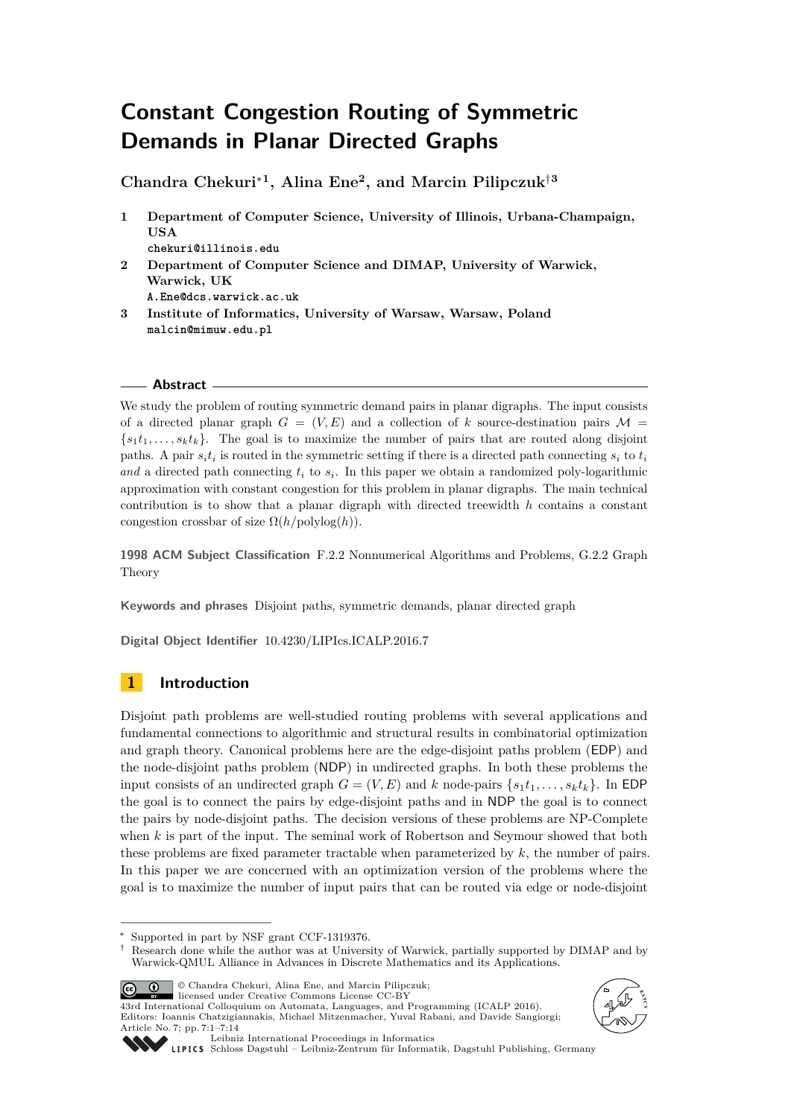# **Constant Congestion Routing of Symmetric Demands in Planar Directed Graphs**

**Chandra Chekuri**<sup>∗</sup>**<sup>1</sup> , Alina Ene<sup>2</sup> , and Marcin Pilipczuk**†**<sup>3</sup>**

- **1 Department of Computer Science, University of Illinois, Urbana-Champaign, USA**
	- **chekuri@illinois.edu**
- **2 Department of Computer Science and DIMAP, University of Warwick, Warwick, UK A.Ene@dcs.warwick.ac.uk**
- **3 Institute of Informatics, University of Warsaw, Warsaw, Poland malcin@mimuw.edu.pl**

## **Abstract**

We study the problem of routing symmetric demand pairs in planar digraphs. The input consists of a directed planar graph  $G = (V, E)$  and a collection of k source-destination pairs  $\mathcal{M} =$  ${s_1t_1,\ldots,s_kt_k}$ . The goal is to maximize the number of pairs that are routed along disjoint paths. A pair  $s_it_i$  is routed in the symmetric setting if there is a directed path connecting  $s_i$  to  $t_i$ and a directed path connecting  $t_i$  to  $s_i$ . In this paper we obtain a randomized poly-logarithmic approximation with constant congestion for this problem in planar digraphs. The main technical contribution is to show that a planar digraph with directed treewidth *h* contains a constant congestion crossbar of size  $\Omega(h/\text{polylog}(h))$ .

**1998 ACM Subject Classification** F.2.2 Nonnumerical Algorithms and Problems, G.2.2 Graph Theory

**Keywords and phrases** Disjoint paths, symmetric demands, planar directed graph

**Digital Object Identifier** [10.4230/LIPIcs.ICALP.2016.7](http://dx.doi.org/10.4230/LIPIcs.ICALP.2016.7)

## **1 Introduction**

Disjoint path problems are well-studied routing problems with several applications and fundamental connections to algorithmic and structural results in combinatorial optimization and graph theory. Canonical problems here are the edge-disjoint paths problem (EDP) and the node-disjoint paths problem (NDP) in undirected graphs. In both these problems the input consists of an undirected graph  $G = (V, E)$  and *k* node-pairs  $\{s_1t_1, \ldots, s_kt_k\}$ . In EDP the goal is to connect the pairs by edge-disjoint paths and in NDP the goal is to connect the pairs by node-disjoint paths. The decision versions of these problems are NP-Complete when *k* is part of the input. The seminal work of Robertson and Seymour showed that both these problems are fixed parameter tractable when parameterized by *k*, the number of pairs. In this paper we are concerned with an optimization version of the problems where the goal is to maximize the number of input pairs that can be routed via edge or node-disjoint

<sup>†</sup> Research done while the author was at University of Warwick, partially supported by DIMAP and by Warwick-QMUL Alliance in Advances in Discrete Mathematics and its Applications.



© Chandra Chekuri, Alina Ene, and Marcin Pilipczuk; licensed under Creative Commons License CC-BY







[Leibniz International Proceedings in Informatics](http://www.dagstuhl.de/lipics/)

[Schloss Dagstuhl – Leibniz-Zentrum für Informatik, Dagstuhl Publishing, Germany](http://www.dagstuhl.de)

Supported in part by NSF grant CCF-1319376.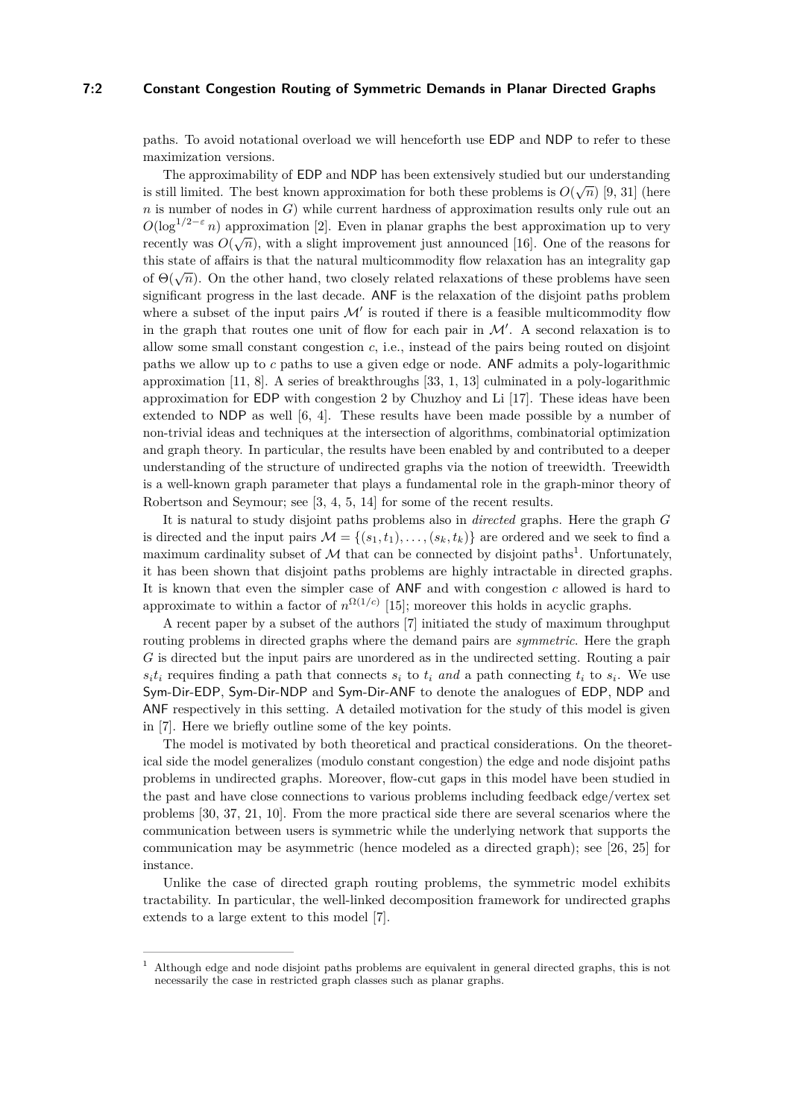### **7:2 Constant Congestion Routing of Symmetric Demands in Planar Directed Graphs**

paths. To avoid notational overload we will henceforth use EDP and NDP to refer to these maximization versions.

The approximability of EDP and NDP has been extensively studied but our understanding is still limited. The best known approximation for both these problems is  $O(\sqrt{n})$  [\[9,](#page-12-0) [31\]](#page-13-1) (here *n* is number of nodes in *G*) while current hardness of approximation results only rule out an  $O(\log^{1/2-\epsilon} n)$  approximation [\[2\]](#page-12-1). Even in planar graphs the best approximation up to very recently was  $O(\sqrt{n})$ , with a slight improvement just announced [\[16\]](#page-12-2). One of the reasons for this state of affairs is that the natural multicommodity flow relaxation has an integrality gap of  $\Theta(\sqrt{n})$ . On the other hand, two closely related relaxations of these problems have seen significant progress in the last decade. ANF is the relaxation of the disjoint paths problem where a subset of the input pairs  $\mathcal{M}'$  is routed if there is a feasible multicommodity flow in the graph that routes one unit of flow for each pair in  $\mathcal{M}'$ . A second relaxation is to allow some small constant congestion *c*, i.e., instead of the pairs being routed on disjoint paths we allow up to *c* paths to use a given edge or node. ANF admits a poly-logarithmic approximation [\[11,](#page-12-3) [8\]](#page-12-4). A series of breakthroughs [\[33,](#page-13-2) [1,](#page-12-5) [13\]](#page-12-6) culminated in a poly-logarithmic approximation for EDP with congestion 2 by Chuzhoy and Li [\[17\]](#page-13-3). These ideas have been extended to NDP as well [\[6,](#page-12-7) [4\]](#page-12-8). These results have been made possible by a number of non-trivial ideas and techniques at the intersection of algorithms, combinatorial optimization and graph theory. In particular, the results have been enabled by and contributed to a deeper understanding of the structure of undirected graphs via the notion of treewidth. Treewidth is a well-known graph parameter that plays a fundamental role in the graph-minor theory of Robertson and Seymour; see [\[3,](#page-12-9) [4,](#page-12-8) [5,](#page-12-10) [14\]](#page-12-11) for some of the recent results.

It is natural to study disjoint paths problems also in *directed* graphs. Here the graph *G* is directed and the input pairs  $\mathcal{M} = \{(s_1, t_1), \ldots, (s_k, t_k)\}\$  are ordered and we seek to find a maximum cardinality subset of  $M$  that can be connected by disjoint paths<sup>[1](#page-1-0)</sup>. Unfortunately, it has been shown that disjoint paths problems are highly intractable in directed graphs. It is known that even the simpler case of ANF and with congestion *c* allowed is hard to approximate to within a factor of  $n^{\Omega(1/c)}$  [\[15\]](#page-12-12); moreover this holds in acyclic graphs.

A recent paper by a subset of the authors [\[7\]](#page-12-13) initiated the study of maximum throughput routing problems in directed graphs where the demand pairs are *symmetric*. Here the graph *G* is directed but the input pairs are unordered as in the undirected setting. Routing a pair  $s_i t_i$  requires finding a path that connects  $s_i$  to  $t_i$  *and* a path connecting  $t_i$  to  $s_i$ . We use Sym-Dir-EDP, Sym-Dir-NDP and Sym-Dir-ANF to denote the analogues of EDP, NDP and ANF respectively in this setting. A detailed motivation for the study of this model is given in [\[7\]](#page-12-13). Here we briefly outline some of the key points.

The model is motivated by both theoretical and practical considerations. On the theoretical side the model generalizes (modulo constant congestion) the edge and node disjoint paths problems in undirected graphs. Moreover, flow-cut gaps in this model have been studied in the past and have close connections to various problems including feedback edge/vertex set problems [\[30,](#page-13-4) [37,](#page-13-5) [21,](#page-13-6) [10\]](#page-12-14). From the more practical side there are several scenarios where the communication between users is symmetric while the underlying network that supports the communication may be asymmetric (hence modeled as a directed graph); see [\[26,](#page-13-7) [25\]](#page-13-8) for instance.

Unlike the case of directed graph routing problems, the symmetric model exhibits tractability. In particular, the well-linked decomposition framework for undirected graphs extends to a large extent to this model [\[7\]](#page-12-13).

<span id="page-1-0"></span><sup>1</sup> Although edge and node disjoint paths problems are equivalent in general directed graphs, this is not necessarily the case in restricted graph classes such as planar graphs.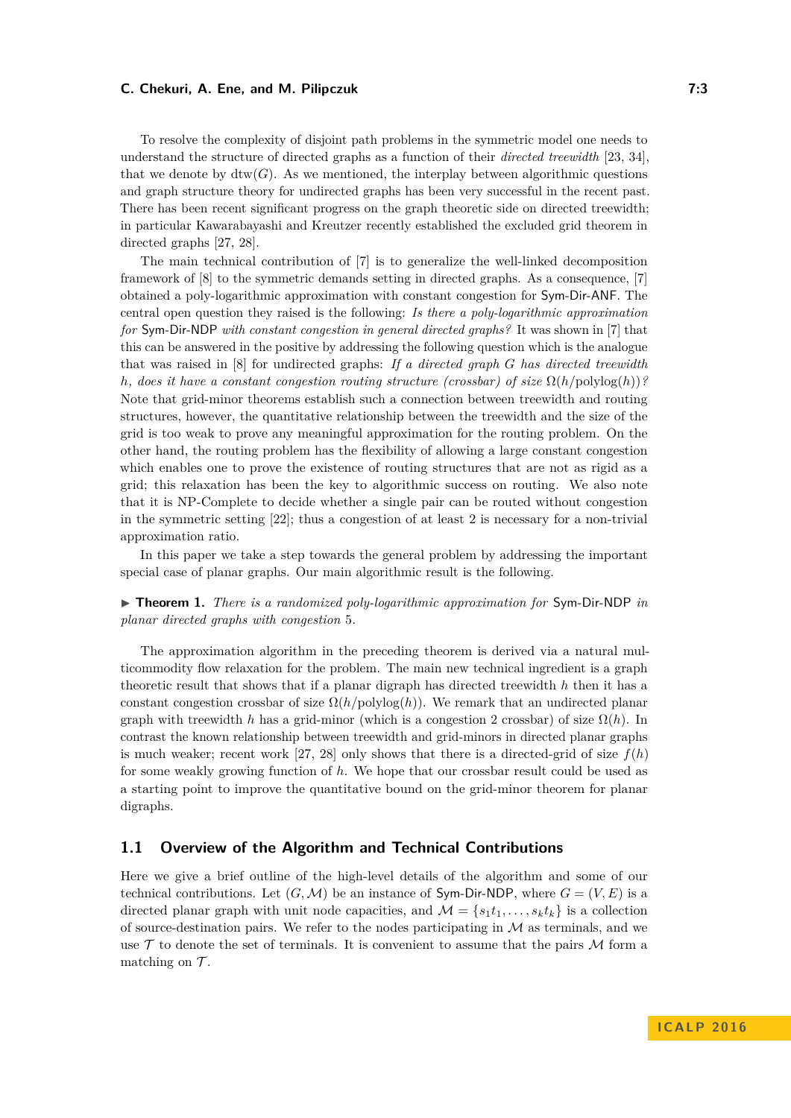To resolve the complexity of disjoint path problems in the symmetric model one needs to understand the structure of directed graphs as a function of their *directed treewidth* [\[23,](#page-13-9) [34\]](#page-13-10), that we denote by  $\text{dtw}(G)$ . As we mentioned, the interplay between algorithmic questions and graph structure theory for undirected graphs has been very successful in the recent past. There has been recent significant progress on the graph theoretic side on directed treewidth; in particular Kawarabayashi and Kreutzer recently established the excluded grid theorem in directed graphs [\[27,](#page-13-11) [28\]](#page-13-12).

The main technical contribution of [\[7\]](#page-12-13) is to generalize the well-linked decomposition framework of [\[8\]](#page-12-4) to the symmetric demands setting in directed graphs. As a consequence, [\[7\]](#page-12-13) obtained a poly-logarithmic approximation with constant congestion for Sym-Dir-ANF. The central open question they raised is the following: *Is there a poly-logarithmic approximation for* Sym-Dir-NDP *with constant congestion in general directed graphs?* It was shown in [\[7\]](#page-12-13) that this can be answered in the positive by addressing the following question which is the analogue that was raised in [\[8\]](#page-12-4) for undirected graphs: *If a directed graph G has directed treewidth h*, does it have a constant congestion routing structure (crossbar) of size  $\Omega(h/\text{polylog}(h))$ ? Note that grid-minor theorems establish such a connection between treewidth and routing structures, however, the quantitative relationship between the treewidth and the size of the grid is too weak to prove any meaningful approximation for the routing problem. On the other hand, the routing problem has the flexibility of allowing a large constant congestion which enables one to prove the existence of routing structures that are not as rigid as a grid; this relaxation has been the key to algorithmic success on routing. We also note that it is NP-Complete to decide whether a single pair can be routed without congestion in the symmetric setting [\[22\]](#page-13-13); thus a congestion of at least 2 is necessary for a non-trivial approximation ratio.

In this paper we take a step towards the general problem by addressing the important special case of planar graphs. Our main algorithmic result is the following.

<span id="page-2-0"></span>▶ **Theorem 1.** *There is a randomized poly-logarithmic approximation for* Sym-Dir-NDP *in planar directed graphs with congestion* 5*.*

The approximation algorithm in the preceding theorem is derived via a natural multicommodity flow relaxation for the problem. The main new technical ingredient is a graph theoretic result that shows that if a planar digraph has directed treewidth *h* then it has a constant congestion crossbar of size  $\Omega(h/\text{polylog}(h))$ . We remark that an undirected planar graph with treewidth *h* has a grid-minor (which is a congestion 2 crossbar) of size  $\Omega(h)$ . In contrast the known relationship between treewidth and grid-minors in directed planar graphs is much weaker; recent work [\[27,](#page-13-11) [28\]](#page-13-12) only shows that there is a directed-grid of size  $f(h)$ for some weakly growing function of *h*. We hope that our crossbar result could be used as a starting point to improve the quantitative bound on the grid-minor theorem for planar digraphs.

## **1.1 Overview of the Algorithm and Technical Contributions**

Here we give a brief outline of the high-level details of the algorithm and some of our technical contributions. Let  $(G, \mathcal{M})$  be an instance of Sym-Dir-NDP, where  $G = (V, E)$  is a directed planar graph with unit node capacities, and  $\mathcal{M} = \{s_1t_1, \ldots, s_kt_k\}$  is a collection of source-destination pairs. We refer to the nodes participating in  $\mathcal M$  as terminals, and we use  $\mathcal T$  to denote the set of terminals. It is convenient to assume that the pairs  $\mathcal M$  form a matching on  $\mathcal{T}$ .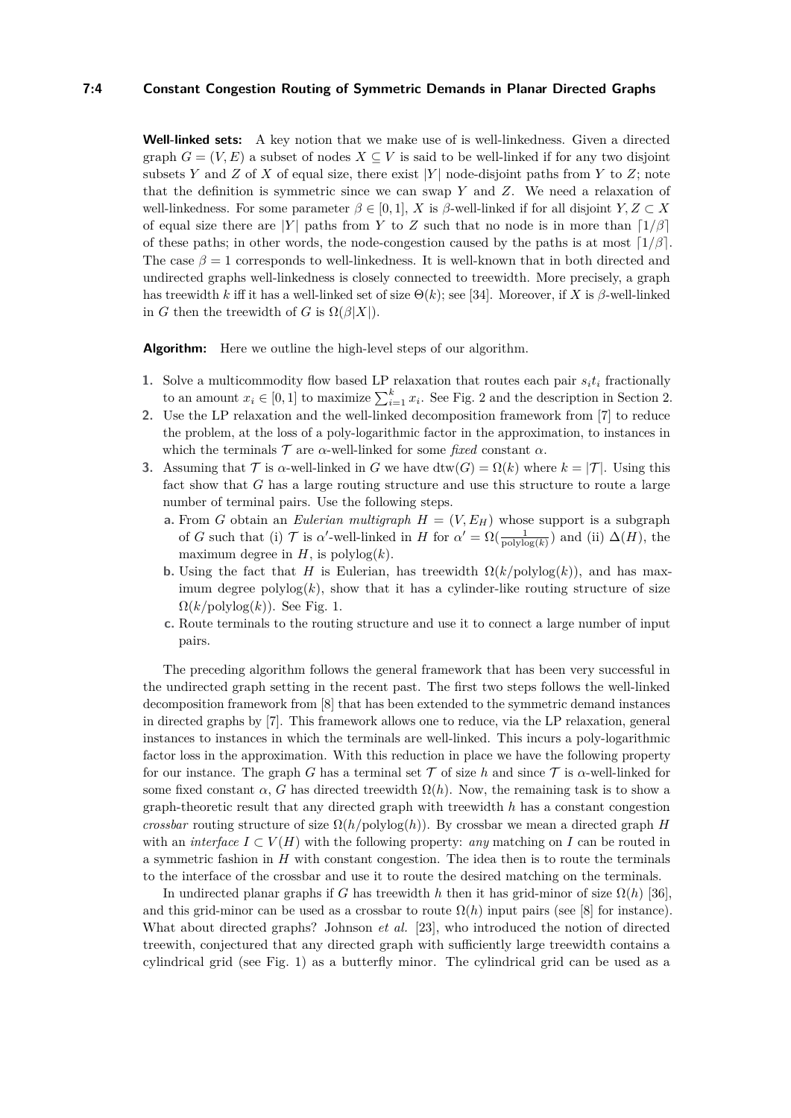## **7:4 Constant Congestion Routing of Symmetric Demands in Planar Directed Graphs**

**Well-linked sets:** A key notion that we make use of is well-linkedness. Given a directed graph  $G = (V, E)$  a subset of nodes  $X \subseteq V$  is said to be well-linked if for any two disjoint subsets *Y* and *Z* of *X* of equal size, there exist  $|Y|$  node-disjoint paths from *Y* to *Z*; note that the definition is symmetric since we can swap *Y* and *Z*. We need a relaxation of well-linkedness. For some parameter  $\beta \in [0,1]$ , *X* is  $\beta$ -well-linked if for all disjoint *Y*,  $Z \subset X$ of equal size there are |*Y*| paths from *Y* to *Z* such that no node is in more than  $\lceil 1/\beta \rceil$ of these paths; in other words, the node-congestion caused by the paths is at most  $\lceil 1/\beta \rceil$ . The case  $\beta = 1$  corresponds to well-linkedness. It is well-known that in both directed and undirected graphs well-linkedness is closely connected to treewidth. More precisely, a graph has treewidth *k* iff it has a well-linked set of size  $\Theta(k)$ ; see [\[34\]](#page-13-10). Moreover, if *X* is  $\beta$ -well-linked in *G* then the treewidth of *G* is  $\Omega(\beta|X|)$ .

**Algorithm:** Here we outline the high-level steps of our algorithm.

- **1.** Solve a multicommodity flow based LP relaxation that routes each pair  $s_i t_i$  fractionally to an amount  $x_i \in [0,1]$  to maximize  $\sum_{i=1}^k x_i$ . See Fig. [2](#page-5-0) and the description in Section [2.](#page-5-1)
- **2.** Use the LP relaxation and the well-linked decomposition framework from [\[7\]](#page-12-13) to reduce the problem, at the loss of a poly-logarithmic factor in the approximation, to instances in which the terminals  $\mathcal T$  are  $\alpha$ -well-linked for some *fixed* constant  $\alpha$ .
- **3.** Assuming that  $\mathcal T$  is  $\alpha$ -well-linked in *G* we have dtw(*G*) =  $\Omega(k)$  where  $k = |\mathcal T|$ . Using this fact show that *G* has a large routing structure and use this structure to route a large number of terminal pairs. Use the following steps.
	- **a.** From *G* obtain an *Eulerian multigraph*  $H = (V, E_H)$  whose support is a subgraph of *G* such that (i)  $\mathcal T$  is  $\alpha'$ -well-linked in *H* for  $\alpha' = \Omega(\frac{1}{\text{polylog}(k)})$  and (ii)  $\Delta(H)$ , the maximum degree in  $H$ , is polylog $(k)$ .
	- **b.** Using the fact that *H* is Eulerian, has treewidth  $\Omega(k/\text{polylog}(k))$ , and has maximum degree  $polylog(k)$ , show that it has a cylinder-like routing structure of size  $\Omega(k/\text{polylog}(k))$ . See Fig. [1.](#page-5-0)
	- **c.** Route terminals to the routing structure and use it to connect a large number of input pairs.

The preceding algorithm follows the general framework that has been very successful in the undirected graph setting in the recent past. The first two steps follows the well-linked decomposition framework from [\[8\]](#page-12-4) that has been extended to the symmetric demand instances in directed graphs by [\[7\]](#page-12-13). This framework allows one to reduce, via the LP relaxation, general instances to instances in which the terminals are well-linked. This incurs a poly-logarithmic factor loss in the approximation. With this reduction in place we have the following property for our instance. The graph *G* has a terminal set  $\mathcal T$  of size *h* and since  $\mathcal T$  is  $\alpha$ -well-linked for some fixed constant  $\alpha$ , *G* has directed treewidth  $\Omega(h)$ . Now, the remaining task is to show a graph-theoretic result that any directed graph with treewidth *h* has a constant congestion *crossbar* routing structure of size  $\Omega(h/\text{polylog}(h))$ . By crossbar we mean a directed graph *H* with an *interface*  $I \subset V(H)$  with the following property: *any* matching on *I* can be routed in a symmetric fashion in *H* with constant congestion. The idea then is to route the terminals to the interface of the crossbar and use it to route the desired matching on the terminals.

In undirected planar graphs if *G* has treewidth *h* then it has grid-minor of size  $\Omega(h)$  [\[36\]](#page-13-14), and this grid-minor can be used as a crossbar to route  $\Omega(h)$  input pairs (see [\[8\]](#page-12-4) for instance). What about directed graphs? Johnson *et al.* [\[23\]](#page-13-9), who introduced the notion of directed treewith, conjectured that any directed graph with sufficiently large treewidth contains a cylindrical grid (see Fig. [1\)](#page-5-0) as a butterfly minor. The cylindrical grid can be used as a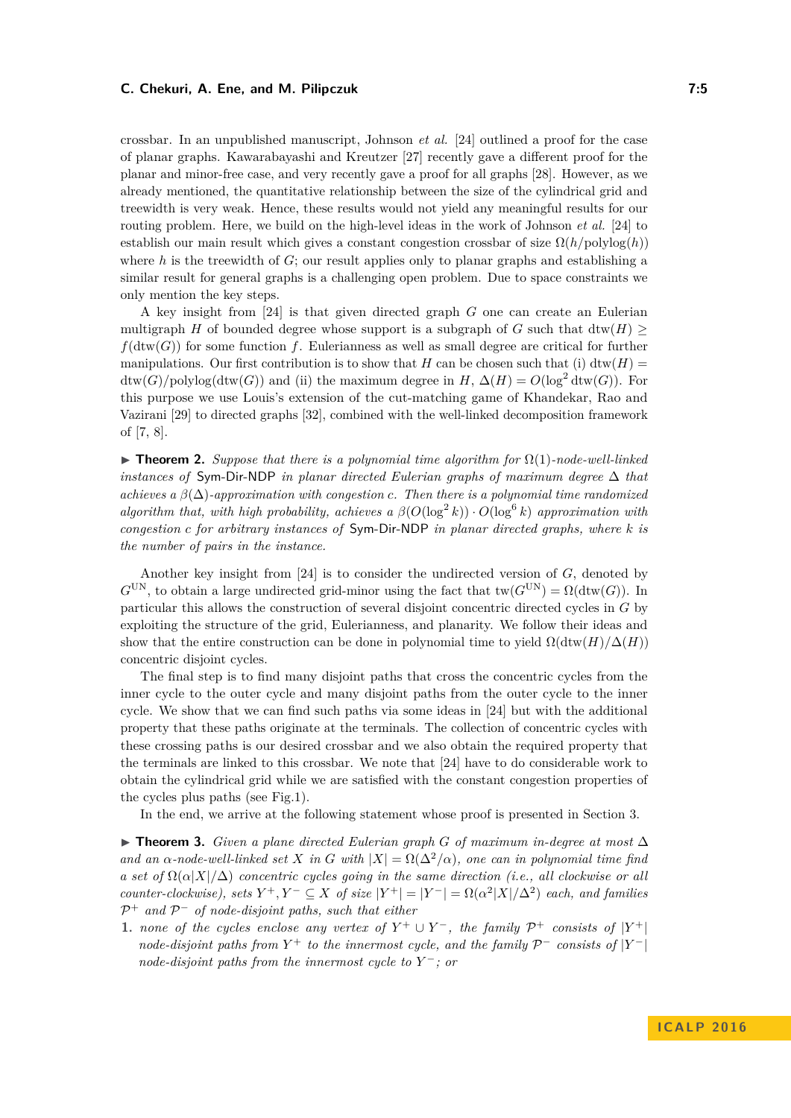crossbar. In an unpublished manuscript, Johnson *et al.* [\[24\]](#page-13-15) outlined a proof for the case of planar graphs. Kawarabayashi and Kreutzer [\[27\]](#page-13-11) recently gave a different proof for the planar and minor-free case, and very recently gave a proof for all graphs [\[28\]](#page-13-12). However, as we already mentioned, the quantitative relationship between the size of the cylindrical grid and treewidth is very weak. Hence, these results would not yield any meaningful results for our routing problem. Here, we build on the high-level ideas in the work of Johnson *et al.* [\[24\]](#page-13-15) to establish our main result which gives a constant congestion crossbar of size  $\Omega(h/\text{polylog}(h))$ where  $h$  is the treewidth of  $G$ ; our result applies only to planar graphs and establishing a similar result for general graphs is a challenging open problem. Due to space constraints we only mention the key steps.

A key insight from [\[24\]](#page-13-15) is that given directed graph *G* one can create an Eulerian multigraph *H* of bounded degree whose support is a subgraph of *G* such that  $\text{dtw}(H) \geq$  $f(\text{dtw}(G))$  for some function f. Eulerianness as well as small degree are critical for further manipulations. Our first contribution is to show that *H* can be chosen such that (i) dtw(*H*) =  $\text{dtw}(G)/\text{polylog}(\text{dtw}(G))$  and (ii) the maximum degree in *H*,  $\Delta(H) = O(\log^2 \text{dtw}(G))$ . For this purpose we use Louis's extension of the cut-matching game of Khandekar, Rao and Vazirani [\[29\]](#page-13-16) to directed graphs [\[32\]](#page-13-17), combined with the well-linked decomposition framework of [\[7,](#page-12-13) [8\]](#page-12-4).

<span id="page-4-1"></span> $\triangleright$  **Theorem 2.** *Suppose that there is a polynomial time algorithm for*  $\Omega(1)$ *-node-well-linked instances of* Sym-Dir-NDP *in planar directed Eulerian graphs of maximum degree* ∆ *that achieves a β*(∆)*-approximation with congestion c. Then there is a polynomial time randomized algorithm that, with high probability, achieves a*  $\beta(O(\log^2 k)) \cdot O(\log^6 k)$  *approximation with congestion c for arbitrary instances of* Sym-Dir-NDP *in planar directed graphs, where k is the number of pairs in the instance.*

Another key insight from [\[24\]](#page-13-15) is to consider the undirected version of *G*, denoted by  $G^{\text{UN}}$ , to obtain a large undirected grid-minor using the fact that  $\text{tw}(G^{\text{UN}}) = \Omega(\text{dtw}(G))$ . In particular this allows the construction of several disjoint concentric directed cycles in *G* by exploiting the structure of the grid, Eulerianness, and planarity. We follow their ideas and show that the entire construction can be done in polynomial time to yield  $\Omega(\text{dtw}(H)/\Delta(H))$ concentric disjoint cycles.

The final step is to find many disjoint paths that cross the concentric cycles from the inner cycle to the outer cycle and many disjoint paths from the outer cycle to the inner cycle. We show that we can find such paths via some ideas in [\[24\]](#page-13-15) but with the additional property that these paths originate at the terminals. The collection of concentric cycles with these crossing paths is our desired crossbar and we also obtain the required property that the terminals are linked to this crossbar. We note that [\[24\]](#page-13-15) have to do considerable work to obtain the cylindrical grid while we are satisfied with the constant congestion properties of the cycles plus paths (see Fig[.1\)](#page-5-0).

In the end, we arrive at the following statement whose proof is presented in Section [3.](#page-7-0)

<span id="page-4-0"></span>I **Theorem 3.** *Given a plane directed Eulerian graph G of maximum in-degree at most* ∆ *and an*  $\alpha$ -node-well-linked set X in G with  $|X| = \Omega(\Delta^2/\alpha)$ , one can in polynomial time find *a set of*  $\Omega(\alpha|X|/\Delta)$  *concentric cycles going in the same direction (i.e., all clockwise or all counter-clockwise*), sets  $Y^+, Y^- \subseteq X$  *of size*  $|Y^+| = |Y^-| = \Omega(\alpha^2 |X|/\Delta^2)$  *each, and families*  $P$ <sup>+</sup> and  $P$ <sup>−</sup> of node-disjoint paths, such that either

**1.** *none of the cycles enclose any vertex of*  $Y^+ \cup Y^-$ , the family  $\mathcal{P}^+$  consists of  $|Y^+|$ *node-disjoint paths from*  $Y^+$  *to the innermost cycle, and the family*  $\mathcal{P}^-$  *consists of*  $|Y^-|$ *node-disjoint paths from the innermost cycle to Y* <sup>−</sup>*; or*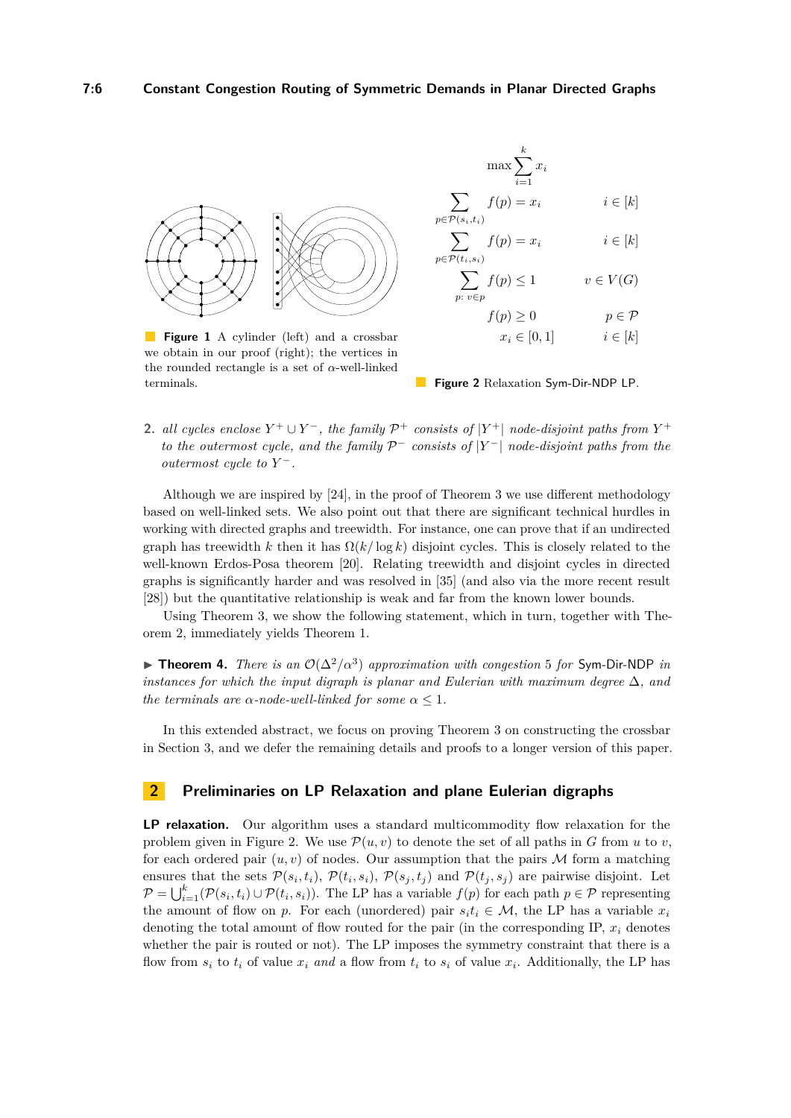<span id="page-5-0"></span>

**Figure 1** A cylinder (left) and a crossbar we obtain in our proof (right); the vertices in the rounded rectangle is a set of *α*-well-linked terminals.



**2.** *all cycles enclose*  $Y^+ \cup Y^-$ , the family  $\mathcal{P}^+$  consists of  $|Y^+|$  node-disjoint paths from  $Y^+$ *to the outermost cycle, and the family*  $\mathcal{P}^-$  *consists of*  $|Y^-|$  *node-disjoint paths from the outermost cycle to Y* −*.*

Although we are inspired by [\[24\]](#page-13-15), in the proof of Theorem [3](#page-4-0) we use different methodology based on well-linked sets. We also point out that there are significant technical hurdles in working with directed graphs and treewidth. For instance, one can prove that if an undirected graph has treewidth *k* then it has  $\Omega(k/\log k)$  disjoint cycles. This is closely related to the well-known Erdos-Posa theorem [\[20\]](#page-13-18). Relating treewidth and disjoint cycles in directed graphs is significantly harder and was resolved in [\[35\]](#page-13-19) (and also via the more recent result [\[28\]](#page-13-12)) but the quantitative relationship is weak and far from the known lower bounds.

Using Theorem [3,](#page-4-0) we show the following statement, which in turn, together with Theorem [2,](#page-4-1) immediately yields Theorem [1.](#page-2-0)

**► Theorem 4.** *There is an*  $O(\Delta^2/\alpha^3)$  *approximation with congestion* 5 *for* Sym-Dir-NDP *in instances for which the input digraph is planar and Eulerian with maximum degree*  $\Delta$ *, and the terminals are*  $\alpha$ -*node-well-linked for some*  $\alpha \leq 1$ *.* 

In this extended abstract, we focus on proving Theorem [3](#page-4-0) on constructing the crossbar in Section [3,](#page-7-0) and we defer the remaining details and proofs to a longer version of this paper.

## <span id="page-5-1"></span>**2 Preliminaries on LP Relaxation and plane Eulerian digraphs**

**LP relaxation.** Our algorithm uses a standard multicommodity flow relaxation for the problem given in Figure [2.](#page-5-0) We use  $\mathcal{P}(u, v)$  to denote the set of all paths in *G* from *u* to *v*, for each ordered pair  $(u, v)$  of nodes. Our assumption that the pairs  $\mathcal M$  form a matching ensures that the sets  $\mathcal{P}(s_i, t_i)$ ,  $\mathcal{P}(t_i, s_i)$ ,  $\mathcal{P}(s_j, t_j)$  and  $\mathcal{P}(t_j, s_j)$  are pairwise disjoint. Let  $\mathcal{P} = \bigcup_{i=1}^k (\mathcal{P}(s_i, t_i) \cup \mathcal{P}(t_i, s_i)).$  The LP has a variable  $f(p)$  for each path  $p \in \mathcal{P}$  representing the amount of flow on *p*. For each (unordered) pair  $s_it_i \in \mathcal{M}$ , the LP has a variable  $x_i$ denoting the total amount of flow routed for the pair (in the corresponding IP,  $x_i$  denotes whether the pair is routed or not). The LP imposes the symmetry constraint that there is a flow from  $s_i$  to  $t_i$  of value  $x_i$  and a flow from  $t_i$  to  $s_i$  of value  $x_i$ . Additionally, the LP has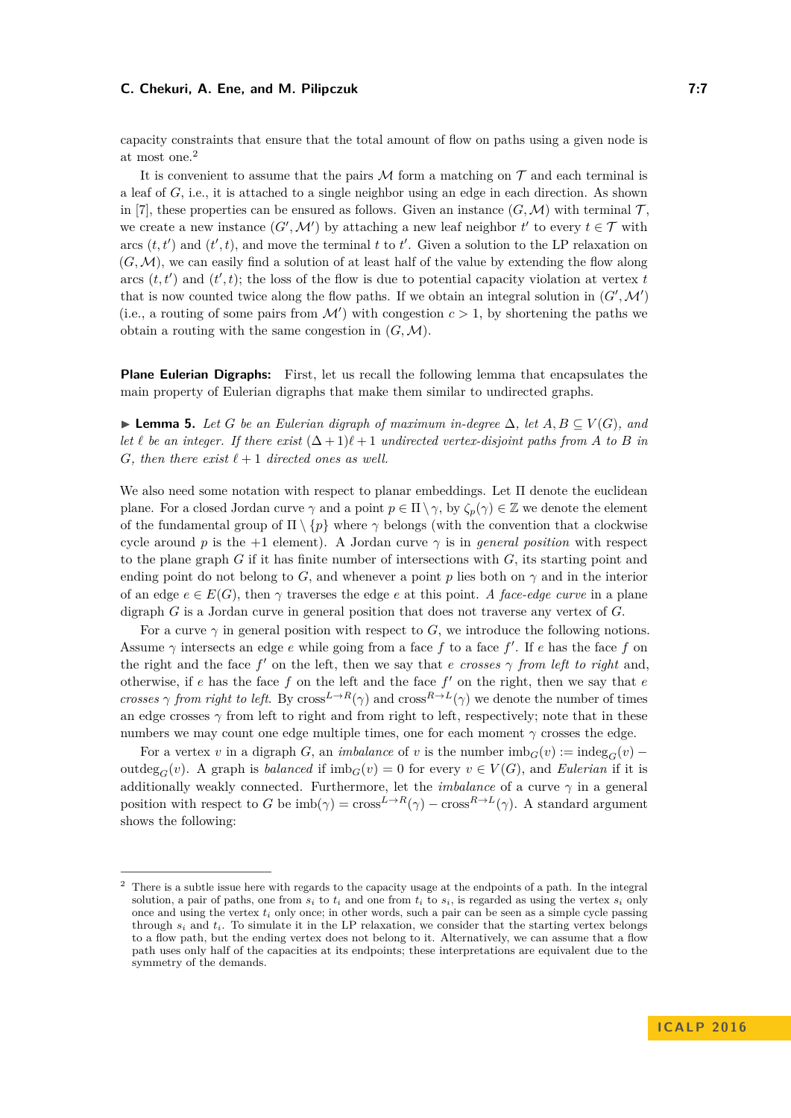capacity constraints that ensure that the total amount of flow on paths using a given node is at most one.[2](#page-6-0)

It is convenient to assume that the pairs  $M$  form a matching on  $\mathcal T$  and each terminal is a leaf of *G*, i.e., it is attached to a single neighbor using an edge in each direction. As shown in [\[7\]](#page-12-13), these properties can be ensured as follows. Given an instance  $(G, M)$  with terminal  $T$ , we create a new instance  $(G', \mathcal{M}')$  by attaching a new leaf neighbor  $t'$  to every  $t \in \mathcal{T}$  with arcs  $(t, t')$  and  $(t', t)$ , and move the terminal  $t$  to  $t'$ . Given a solution to the LP relaxation on  $(G, \mathcal{M})$ , we can easily find a solution of at least half of the value by extending the flow along arcs  $(t, t')$  and  $(t', t)$ ; the loss of the flow is due to potential capacity violation at vertex  $t$ that is now counted twice along the flow paths. If we obtain an integral solution in  $(G',\mathcal{M}')$ (i.e., a routing of some pairs from  $\mathcal{M}'$ ) with congestion  $c > 1$ , by shortening the paths we obtain a routing with the same congestion in  $(G, \mathcal{M})$ .

**Plane Eulerian Digraphs:** First, let us recall the following lemma that encapsulates the main property of Eulerian digraphs that make them similar to undirected graphs.

<span id="page-6-1"></span>**► Lemma 5.** Let G be an Eulerian digraph of maximum in-degree  $\Delta$ , let  $A, B \subseteq V(G)$ , and *let*  $\ell$  *be an integer. If there exist*  $(\Delta + 1)\ell + 1$  *undirected vertex-disjoint paths from A to B in G, then there exist*  $\ell + 1$  *directed ones as well.* 

We also need some notation with respect to planar embeddings. Let  $\Pi$  denote the euclidean plane. For a closed Jordan curve  $\gamma$  and a point  $p \in \Pi \setminus \gamma$ , by  $\zeta_p(\gamma) \in \mathbb{Z}$  we denote the element of the fundamental group of  $\Pi \setminus \{p\}$  where  $\gamma$  belongs (with the convention that a clockwise cycle around *p* is the  $+1$  element). A Jordan curve  $\gamma$  is in *general position* with respect to the plane graph *G* if it has finite number of intersections with *G*, its starting point and ending point do not belong to *G*, and whenever a point *p* lies both on  $\gamma$  and in the interior of an edge  $e \in E(G)$ , then  $\gamma$  traverses the edge *e* at this point. *A face-edge curve* in a plane digraph *G* is a Jordan curve in general position that does not traverse any vertex of *G*.

For a curve  $\gamma$  in general position with respect to *G*, we introduce the following notions. Assume  $\gamma$  intersects an edge  $e$  while going from a face  $f$  to a face  $f'$ . If  $e$  has the face  $f$  on the right and the face  $f'$  on the left, then we say that *e crosses*  $\gamma$  *from left to right* and, otherwise, if *e* has the face *f* on the left and the face *f* <sup>0</sup> on the right, then we say that *e crosses*  $\gamma$  *from right to left.* By cross<sup>*L*→*R*( $\gamma$ ) and cross<sup>*R*→*L*( $\gamma$ ) we denote the number of times</sup></sup> an edge crosses  $\gamma$  from left to right and from right to left, respectively; note that in these numbers we may count one edge multiple times, one for each moment  $\gamma$  crosses the edge.

For a vertex *v* in a digraph *G*, an *imbalance* of *v* is the number  $\text{imb}_G(v) := \text{indeg}_G(v)$  – outdeg<sub>*G*</sub>(*v*). A graph is *balanced* if  $\text{imb}_G(v) = 0$  for every  $v \in V(G)$ , and *Eulerian* if it is additionally weakly connected. Furthermore, let the *imbalance* of a curve  $\gamma$  in a general position with respect to *G* be  $\text{imb}(\gamma) = \text{cross}^{L \to R}(\gamma) - \text{cross}^{R \to L}(\gamma)$ . A standard argument shows the following:

<span id="page-6-0"></span><sup>&</sup>lt;sup>2</sup> There is a subtle issue here with regards to the capacity usage at the endpoints of a path. In the integral solution, a pair of paths, one from  $s_i$  to  $t_i$  and one from  $t_i$  to  $s_i$ , is regarded as using the vertex  $s_i$  only once and using the vertex  $t_i$  only once; in other words, such a pair can be seen as a simple cycle passing through  $s_i$  and  $t_i$ . To simulate it in the LP relaxation, we consider that the starting vertex belongs to a flow path, but the ending vertex does not belong to it. Alternatively, we can assume that a flow path uses only half of the capacities at its endpoints; these interpretations are equivalent due to the symmetry of the demands.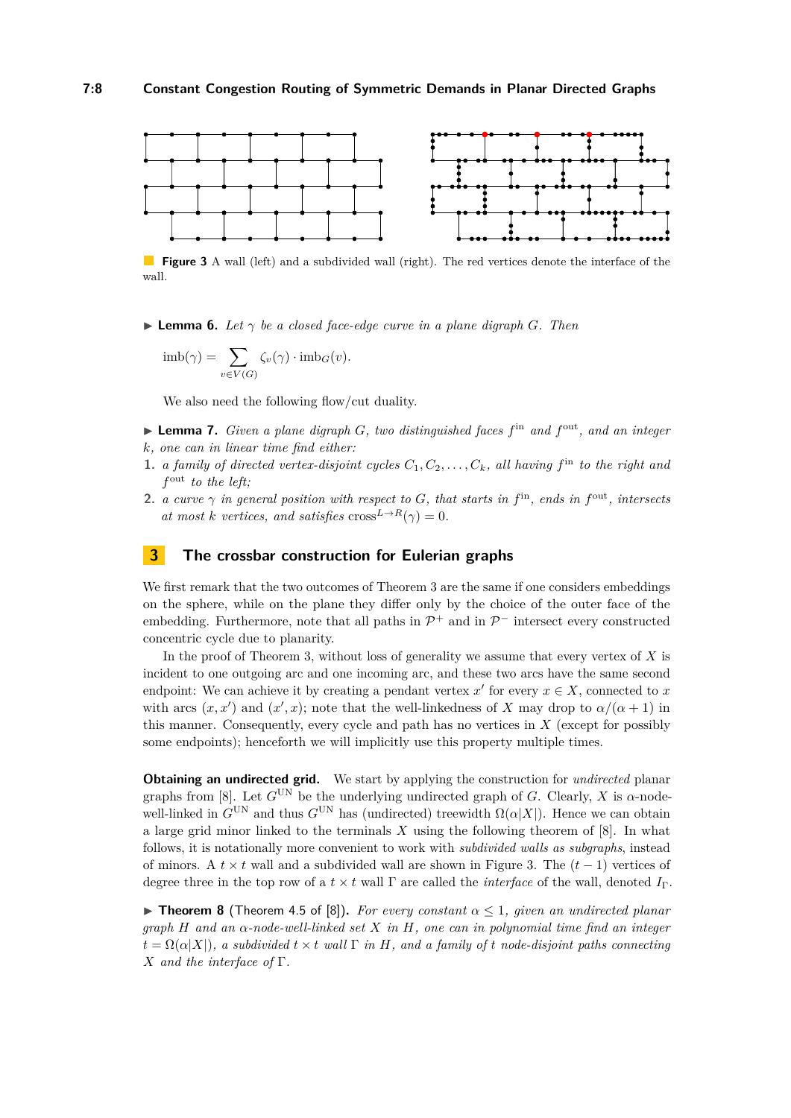<span id="page-7-1"></span>

**Figure 3** A wall (left) and a subdivided wall (right). The red vertices denote the interface of the wall.

<span id="page-7-2"></span> $\blacktriangleright$  **Lemma 6.** Let  $\gamma$  be a closed face-edge curve in a plane digraph G. Then

$$
imb(\gamma) = \sum_{v \in V(G)} \zeta_v(\gamma) \cdot imb_G(v).
$$

We also need the following flow/cut duality.

- <span id="page-7-3"></span>▶ **Lemma 7.** *Given a plane digraph G, two distinguished faces f*<sup>in</sup> and *f*<sup>out</sup>, and an integer *k, one can in linear time find either:*
- **1.** *a family of directed vertex-disjoint cycles*  $C_1, C_2, \ldots, C_k$ *, all having*  $f<sup>in</sup>$  *to the right and f* out *to the left;*
- **2.** *a curve*  $\gamma$  *in general position with respect to G, that starts in*  $f^{\text{in}}$ *, ends in*  $f^{\text{out}}$ *, intersects at most k vertices, and satisfies*  $\csc^{L \to R}(\gamma) = 0$ *.*

## <span id="page-7-0"></span>**3 The crossbar construction for Eulerian graphs**

We first remark that the two outcomes of Theorem [3](#page-4-0) are the same if one considers embeddings on the sphere, while on the plane they differ only by the choice of the outer face of the embedding. Furthermore, note that all paths in  $\mathcal{P}^+$  and in  $\mathcal{P}^-$  intersect every constructed concentric cycle due to planarity.

In the proof of Theorem [3,](#page-4-0) without loss of generality we assume that every vertex of *X* is incident to one outgoing arc and one incoming arc, and these two arcs have the same second endpoint: We can achieve it by creating a pendant vertex  $x'$  for every  $x \in X$ , connected to  $x$ with arcs  $(x, x')$  and  $(x', x)$ ; note that the well-linkedness of *X* may drop to  $\alpha/(\alpha + 1)$  in this manner. Consequently, every cycle and path has no vertices in *X* (except for possibly some endpoints); henceforth we will implicitly use this property multiple times.

**Obtaining an undirected grid.** We start by applying the construction for *undirected* planar graphs from [\[8\]](#page-12-4). Let  $G^{UN}$  be the underlying undirected graph of *G*. Clearly, *X* is  $\alpha$ -nodewell-linked in  $G^{UN}$  and thus  $G^{UN}$  has (undirected) treewidth  $\Omega(\alpha|X|)$ . Hence we can obtain a large grid minor linked to the terminals *X* using the following theorem of [\[8\]](#page-12-4). In what follows, it is notationally more convenient to work with *subdivided walls as subgraphs*, instead of minors. A  $t \times t$  wall and a subdivided wall are shown in Figure [3.](#page-7-1) The  $(t-1)$  vertices of degree three in the top row of a  $t \times t$  wall Γ are called the *interface* of the wall, denoted  $I_{\Gamma}$ .

**Figure 1 Figure 3** (Theorem 4.5 of [\[8\]](#page-12-4)). *For every constant*  $\alpha \leq 1$ , given an undirected planar *graph H and an α-node-well-linked set X in H, one can in polynomial time find an integer*  $t = \Omega(\alpha|X|)$ *, a subdivided*  $t \times t$  *wall*  $\Gamma$  *in H, and a family of t node-disjoint paths connecting X and the interface of* Γ*.*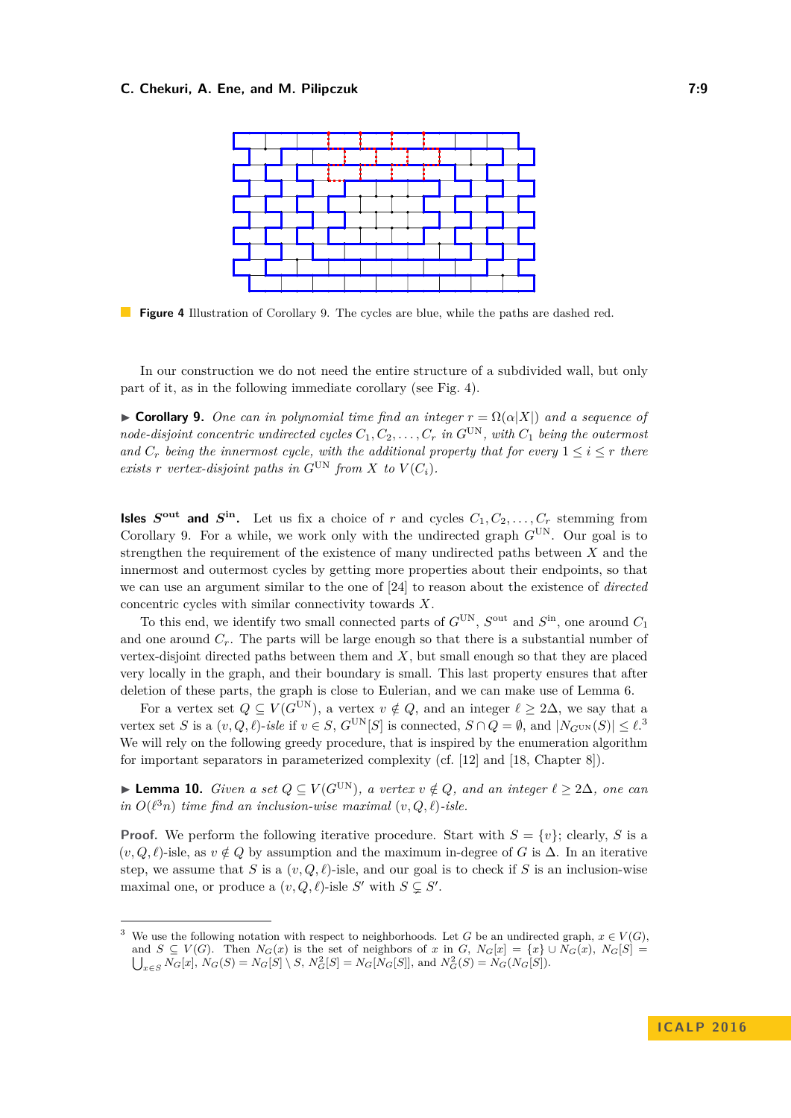<span id="page-8-1"></span>

**Figure 4** Illustration of Corollary [9.](#page-8-0) The cycles are blue, while the paths are dashed red.

In our construction we do not need the entire structure of a subdivided wall, but only part of it, as in the following immediate corollary (see Fig. [4\)](#page-8-1).

<span id="page-8-0"></span> $\triangleright$  **Corollary 9.** *One can in polynomial time find an integer*  $r = \Omega(\alpha|X|)$  *and a sequence of node-disjoint concentric undirected cycles*  $C_1, C_2, \ldots, C_r$  *in*  $G^{UN}$ *, with*  $C_1$  *being the outermost and*  $C_r$  *being the innermost cycle, with the additional property that for every*  $1 \leq i \leq r$  *there exists r vertex-disjoint paths in*  $G^{UN}$  *from*  $X$  *to*  $V(C_i)$ *.* 

**Isles**  $S^{\text{out}}$  and  $S^{\text{in}}$ . Let us fix a choice of *r* and cycles  $C_1, C_2, \ldots, C_r$  stemming from Corollary [9.](#page-8-0) For a while, we work only with the undirected graph  $G^{UN}$ . Our goal is to strengthen the requirement of the existence of many undirected paths between *X* and the innermost and outermost cycles by getting more properties about their endpoints, so that we can use an argument similar to the one of [\[24\]](#page-13-15) to reason about the existence of *directed* concentric cycles with similar connectivity towards *X*.

To this end, we identify two small connected parts of  $G^{\text{UN}}$ ,  $S^{\text{out}}$  and  $S^{\text{in}}$ , one around  $C_1$ and one around *Cr*. The parts will be large enough so that there is a substantial number of vertex-disjoint directed paths between them and *X*, but small enough so that they are placed very locally in the graph, and their boundary is small. This last property ensures that after deletion of these parts, the graph is close to Eulerian, and we can make use of Lemma [6.](#page-7-2)

For a vertex set  $Q \subseteq V(G^{\text{UN}})$ , a vertex  $v \notin Q$ , and an integer  $\ell \geq 2\Delta$ , we say that a vertex set *S* is a  $(v, Q, \ell)$ -*isle* if  $v \in S$ ,  $G^{\text{UN}}[S]$  is connected,  $S \cap Q = \emptyset$ , and  $|N_{G^{\text{UN}}}(S)| \leq \ell$ .<sup>[3](#page-8-2)</sup> We will rely on the following greedy procedure, that is inspired by the enumeration algorithm for important separators in parameterized complexity (cf. [\[12\]](#page-12-15) and [\[18,](#page-13-20) Chapter 8]).

<span id="page-8-3"></span>**► Lemma 10.** *Given a set*  $Q \subseteq V(G^{UN})$ *, a vertex*  $v \notin Q$ *, and an integer*  $\ell \geq 2\Delta$ *, one can in*  $O(\ell^3 n)$  *time find an inclusion-wise maximal*  $(v, Q, \ell)$ *-isle.* 

**Proof.** We perform the following iterative procedure. Start with  $S = \{v\}$ ; clearly, *S* is a  $(v, Q, \ell)$ -isle, as  $v \notin Q$  by assumption and the maximum in-degree of *G* is  $\Delta$ . In an iterative step, we assume that *S* is a  $(v, Q, \ell)$ -isle, and our goal is to check if *S* is an inclusion-wise maximal one, or produce a  $(v, Q, \ell)$ -isle *S'* with  $S \subsetneq S'$ .

<span id="page-8-2"></span>We use the following notation with respect to neighborhoods. Let *G* be an undirected graph,  $x \in V(G)$ , and  $S \subseteq V(G)$ . Then  $N_G(x)$  is the set of neighbors of *x* in *G*,  $N_G[x] = \{x\} \cup N_G(x)$ ,  $N_G[S] =$  $\bigcup_{x \in S} N_G[x], N_G(S) = N_G[S] \setminus S, N_G^2[S] = N_G[N_G[S]],$  and  $N_G^2(S) = N_G(N_G[S]).$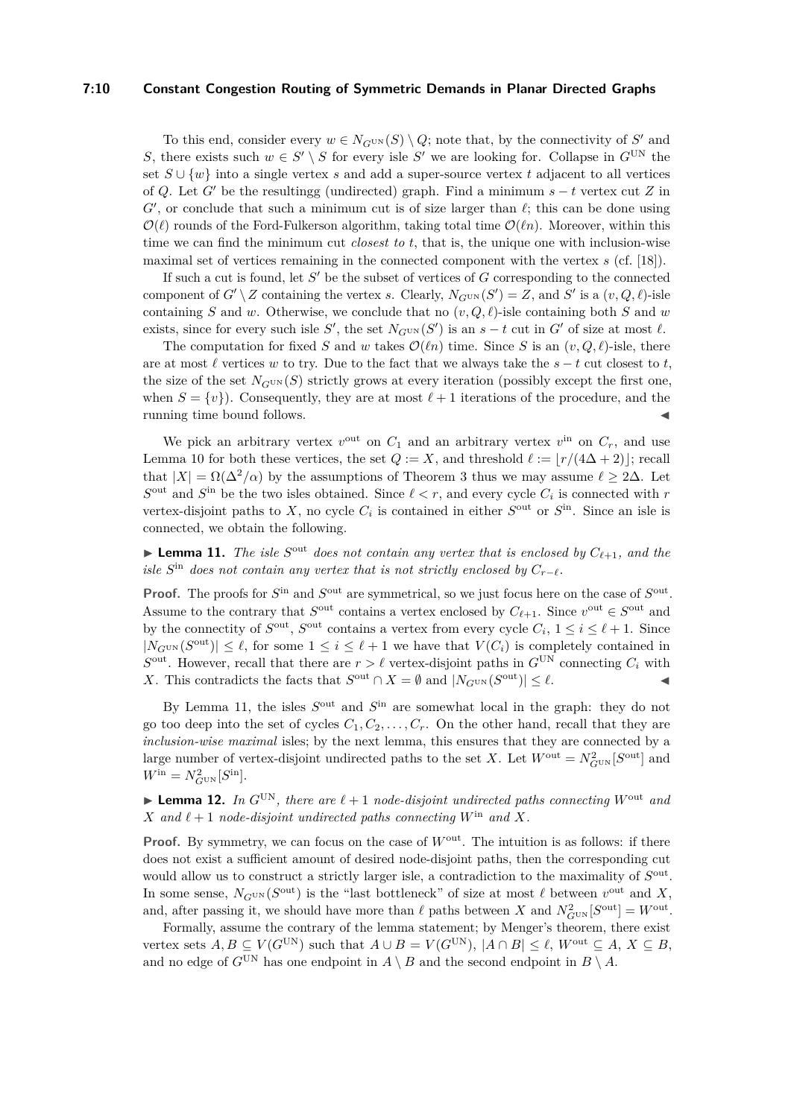#### **7:10 Constant Congestion Routing of Symmetric Demands in Planar Directed Graphs**

To this end, consider every  $w \in N_{G^{\text{UN}}}(S) \setminus Q$ ; note that, by the connectivity of  $S'$  and *S*, there exists such  $w \in S' \setminus S$  for every isle *S*<sup>'</sup> we are looking for. Collapse in  $G^{UN}$  the set *S* ∪ {*w*} into a single vertex *s* and add a super-source vertex *t* adjacent to all vertices of *Q*. Let *G*<sup> $\prime$ </sup> be the resultingg (undirected) graph. Find a minimum  $s - t$  vertex cut *Z* in  $G'$ , or conclude that such a minimum cut is of size larger than  $\ell$ ; this can be done using  $\mathcal{O}(\ell)$  rounds of the Ford-Fulkerson algorithm, taking total time  $\mathcal{O}(\ell n)$ . Moreover, within this time we can find the minimum cut *closest to t*, that is, the unique one with inclusion-wise maximal set of vertices remaining in the connected component with the vertex *s* (cf. [\[18\]](#page-13-20)).

If such a cut is found, let S' be the subset of vertices of G corresponding to the connected component of  $G' \setminus Z$  containing the vertex *s*. Clearly,  $N_{G^{UN}}(S') = Z$ , and  $S'$  is a  $(v, Q, \ell)$ -isle containing *S* and *w*. Otherwise, we conclude that no  $(v, Q, \ell)$ -isle containing both *S* and *w* exists, since for every such isle *S*<sup>'</sup>, the set  $N_{G^{UN}}(S')$  is an  $s - t$  cut in  $G'$  of size at most  $\ell$ .

The computation for fixed *S* and *w* takes  $\mathcal{O}(\ell n)$  time. Since *S* is an  $(v, Q, \ell)$ -isle, there are at most  $\ell$  vertices *w* to try. Due to the fact that we always take the  $s - t$  cut closest to *t*, the size of the set  $N_{G^{UN}}(S)$  strictly grows at every iteration (possibly except the first one, when  $S = \{v\}$ . Consequently, they are at most  $\ell + 1$  iterations of the procedure, and the running time bound follows.

We pick an arbitrary vertex  $v^{\text{out}}$  on  $C_1$  and an arbitrary vertex  $v^{\text{in}}$  on  $C_r$ , and use Lemma [10](#page-8-3) for both these vertices, the set  $Q := X$ , and threshold  $\ell := |r/(4\Delta + 2)|$ ; recall that  $|X| = \Omega(\Delta^2/\alpha)$  by the assumptions of Theorem [3](#page-4-0) thus we may assume  $\ell > 2\Delta$ . Let  $S<sup>out</sup>$  and  $S<sup>in</sup>$  be the two isles obtained. Since  $\ell < r$ , and every cycle  $C<sub>i</sub>$  is connected with *r* vertex-disjoint paths to *X*, no cycle  $C_i$  is contained in either  $S^{\text{out}}$  or  $S^{\text{in}}$ . Since an isle is connected, we obtain the following.

<span id="page-9-0"></span>**Exterma 11.** The isle  $S<sup>out</sup>$  does not contain any vertex that is enclosed by  $C_{\ell+1}$ , and the *isle*  $S$ <sup>in</sup> *does not contain any vertex that is not strictly enclosed by*  $C_{r-\ell}$ *.* 

**Proof.** The proofs for  $S^{\text{in}}$  and  $S^{\text{out}}$  are symmetrical, so we just focus here on the case of  $S^{\text{out}}$ . Assume to the contrary that  $S^{\text{out}}$  contains a vertex enclosed by  $C_{\ell+1}$ . Since  $v^{\text{out}} \in S^{\text{out}}$  and by the connectity of  $S^{\text{out}}$ ,  $S^{\text{out}}$  contains a vertex from every cycle  $C_i$ ,  $1 \leq i \leq \ell + 1$ . Since  $|N_{G^{UN}}(S^{out})| \leq \ell$ , for some  $1 \leq i \leq \ell + 1$  we have that  $V(C_i)$  is completely contained in  $S<sup>out</sup>$ . However, recall that there are  $r > \ell$  vertex-disjoint paths in  $G<sup>UN</sup>$  connecting  $C_i$  with *X*. This contradicts the facts that  $S^{\text{out}} \cap X = \emptyset$  and  $|N_{G^{\text{UN}}}(S^{\text{out}})| \leq \ell$ .

By Lemma [11,](#page-9-0) the isles  $S<sup>out</sup>$  and  $S<sup>in</sup>$  are somewhat local in the graph: they do not go too deep into the set of cycles  $C_1, C_2, \ldots, C_r$ . On the other hand, recall that they are *inclusion-wise maximal* isles; by the next lemma, this ensures that they are connected by a large number of vertex-disjoint undirected paths to the set *X*. Let  $W^{\text{out}} = N_{G^{\text{UN}}}^2[S^{\text{out}}]$  and  $W^{\rm in} = N_{G^{\rm UN}}^2[S^{\rm in}].$ 

<span id="page-9-1"></span>**Example 12.** In  $G^{UN}$ , there are  $\ell + 1$  node-disjoint undirected paths connecting  $W^{out}$  and *X* and  $\ell + 1$  *node-disjoint undirected paths connecting*  $W^{\text{in}}$  *and*  $X$ *.* 

**Proof.** By symmetry, we can focus on the case of  $W^{\text{out}}$ . The intuition is as follows: if there does not exist a sufficient amount of desired node-disjoint paths, then the corresponding cut would allow us to construct a strictly larger isle, a contradiction to the maximality of  $S<sup>out</sup>$ . In some sense,  $N_{G^{UN}}(S^{out})$  is the "last bottleneck" of size at most  $\ell$  between  $v^{out}$  and X, and, after passing it, we should have more than  $\ell$  paths between *X* and  $N_{G^{\text{UN}}}^2[S^{\text{out}}] = W^{\text{out}}$ .

Formally, assume the contrary of the lemma statement; by Menger's theorem, there exist vertex sets  $A, B \subseteq V(G^{\text{UN}})$  such that  $A \cup B = V(G^{\text{UN}})$ ,  $|A \cap B| \leq \ell$ ,  $W^{\text{out}} \subseteq A, X \subseteq B$ , and no edge of  $G^{UN}$  has one endpoint in  $A \setminus B$  and the second endpoint in  $B \setminus A$ .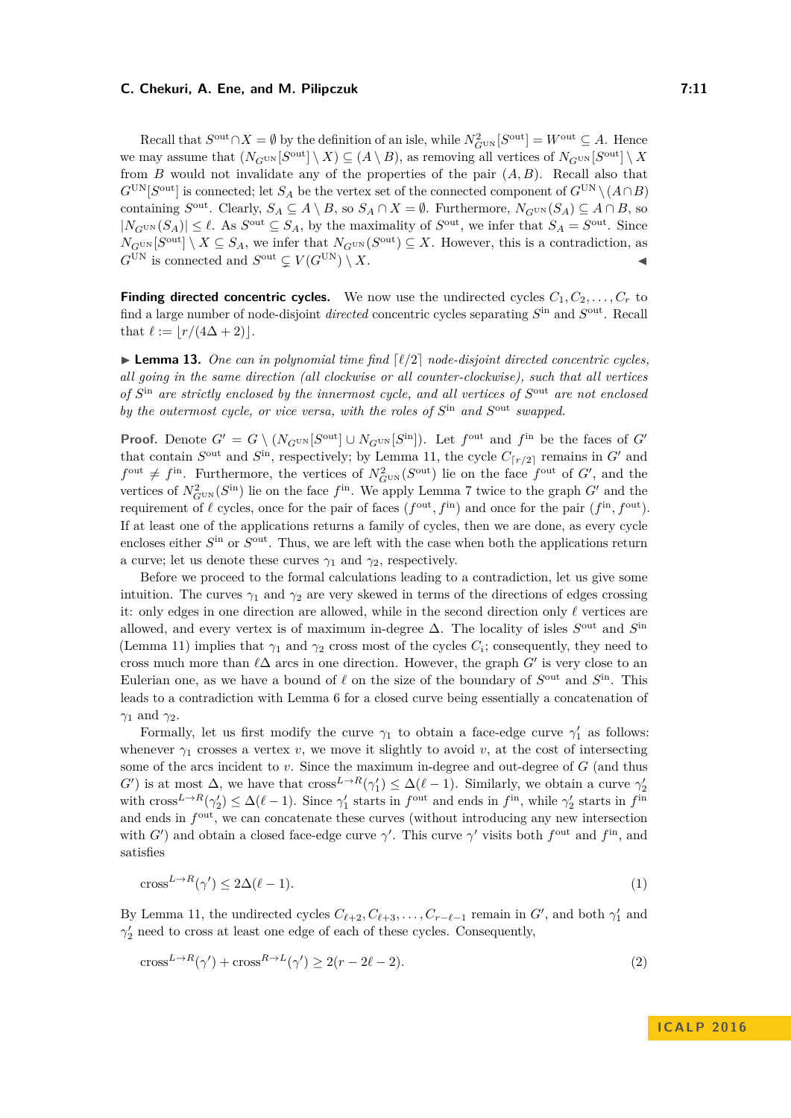Recall that  $S^{\text{out}} \cap X = \emptyset$  by the definition of an isle, while  $N_{G^{\text{UN}}}^2[S^{\text{out}}] = W^{\text{out}} \subseteq A$ . Hence we may assume that  $(N_{G^{\text{UN}}}[S^{\text{out}}] \setminus X) \subseteq (A \setminus B)$ , as removing all vertices of  $N_{G^{\text{UN}}}[S^{\text{out}}] \setminus X$ from *B* would not invalidate any of the properties of the pair  $(A, B)$ . Recall also that  $G^{\text{UN}}[S^{\text{out}}]$  is connected; let  $S_A$  be the vertex set of the connected component of  $G^{\text{UN}} \setminus (A \cap B)$ containing  $S^{\text{out}}$ . Clearly,  $S_A \subseteq A \setminus B$ , so  $S_A \cap X = \emptyset$ . Furthermore,  $N_{G^{\text{UN}}}(S_A) \subseteq A \cap B$ , so  $|N_{G^{UN}}(S_A)| \leq \ell$ . As  $S^{out} \subseteq S_A$ , by the maximality of  $S^{out}$ , we infer that  $S_A = S^{out}$ . Since  $N_G$ <sup>UN</sup> [ $S^{\text{out}}$ ]  $\setminus X \subseteq S_A$ , we infer that  $N_G$ <sup>UN</sup> ( $S^{\text{out}}$ )  $\subseteq X$ . However, this is a contradiction, as  $G^{\text{UN}}$  is connected and  $S^{\text{out}} \subsetneq V(G^{\text{UN}}) \setminus X$ .

**Finding directed concentric cycles.** We now use the undirected cycles  $C_1, C_2, \ldots, C_r$  to find a large number of node-disjoint *directed* concentric cycles separating  $S<sup>in</sup>$  and  $S<sup>out</sup>$ . Recall that  $\ell := |r/(4\Delta + 2)|$ .

<span id="page-10-2"></span> $\blacktriangleright$  **Lemma 13.** One can in polynomial time find  $\lceil l/2 \rceil$  node-disjoint directed concentric cycles, *all going in the same direction (all clockwise or all counter-clockwise), such that all vertices* of  $S<sup>in</sup>$  *are strictly enclosed by the innermost cycle, and all vertices of*  $S<sup>out</sup>$  *are not enclosed by the outermost cycle, or vice versa, with the roles of*  $S<sup>in</sup>$  *and*  $S<sup>out</sup>$  *swapped.* 

**Proof.** Denote  $G' = G \setminus (N_{G^{UN}}[S^{out}] \cup N_{G^{UN}}[S^{in}])$ . Let  $f^{out}$  and  $f^{in}$  be the faces of  $G'$ that contain  $S^{\text{out}}$  and  $S^{\text{in}}$ , respectively; by Lemma [11,](#page-9-0) the cycle  $C_{\lceil r/2 \rceil}$  remains in *G*<sup>*n*</sup> and  $f^{\text{out}} \neq f^{\text{in}}$ . Furthermore, the vertices of  $N_{G^{\text{UN}}}^2(S^{\text{out}})$  lie on the face  $f^{\text{out}}$  of  $G'$ , and the vertices of  $N_{G^{\text{UN}}}^2(S^{\text{in}})$  lie on the face  $f^{\text{in}}$ . We apply Lemma [7](#page-7-3) twice to the graph  $G'$  and the requirement of  $\ell$  cycles, once for the pair of faces  $(f^{\text{out}}, f^{\text{in}})$  and once for the pair  $(f^{\text{in}}, f^{\text{out}})$ . If at least one of the applications returns a family of cycles, then we are done, as every cycle encloses either  $S<sup>in</sup>$  or  $S<sup>out</sup>$ . Thus, we are left with the case when both the applications return a curve; let us denote these curves  $\gamma_1$  and  $\gamma_2$ , respectively.

Before we proceed to the formal calculations leading to a contradiction, let us give some intuition. The curves  $\gamma_1$  and  $\gamma_2$  are very skewed in terms of the directions of edges crossing it: only edges in one direction are allowed, while in the second direction only  $\ell$  vertices are allowed, and every vertex is of maximum in-degree  $\Delta$ . The locality of isles  $S<sup>out</sup>$  and  $S<sup>in</sup>$ (Lemma [11\)](#page-9-0) implies that  $\gamma_1$  and  $\gamma_2$  cross most of the cycles  $C_i$ ; consequently, they need to cross much more than  $\ell\Delta$  arcs in one direction. However, the graph  $G'$  is very close to an Eulerian one, as we have a bound of  $\ell$  on the size of the boundary of  $S^{\text{out}}$  and  $S^{\text{in}}$ . This leads to a contradiction with Lemma [6](#page-7-2) for a closed curve being essentially a concatenation of *γ*<sup>1</sup> and *γ*2.

Formally, let us first modify the curve  $\gamma_1$  to obtain a face-edge curve  $\gamma'_1$  as follows: whenever  $\gamma_1$  crosses a vertex *v*, we move it slightly to avoid *v*, at the cost of intersecting some of the arcs incident to *v*. Since the maximum in-degree and out-degree of *G* (and thus *G*<sup> $\prime$ </sup>) is at most  $\Delta$ , we have that cross<sup>*L*→*R*</sup>( $\gamma_1$ )  $\leq \Delta(\ell-1)$ . Similarly, we obtain a curve  $\gamma_2$ with  $\text{cross}^{L \to R}(\gamma_2') \leq \Delta(\ell-1)$ . Since  $\gamma_1'$  starts in  $f^{\text{out}}$  and ends in  $f^{\text{in}}$ , while  $\gamma_2'$  starts in  $f^{\text{in}}$ and ends in  $f^{\text{out}}$ , we can concatenate these curves (without introducing any new intersection with *G*<sup> $\prime$ </sup> and obtain a closed face-edge curve *γ*<sup> $\prime$ </sup>. This curve *γ*<sup> $\prime$ </sup> visits both *f*<sup>out</sup> and *f*<sup>in</sup>, and satisfies

<span id="page-10-0"></span>
$$
\text{cross}^{L \to R}(\gamma') \le 2\Delta(\ell - 1). \tag{1}
$$

By Lemma [11,](#page-9-0) the undirected cycles  $C_{\ell+2}, C_{\ell+3}, \ldots, C_{r-\ell-1}$  remain in  $G'$ , and both  $\gamma'_1$  and  $\gamma'_2$  need to cross at least one edge of each of these cycles. Consequently,

<span id="page-10-1"></span>
$$
\text{cross}^{L \to R}(\gamma') + \text{cross}^{R \to L}(\gamma') \ge 2(r - 2\ell - 2). \tag{2}
$$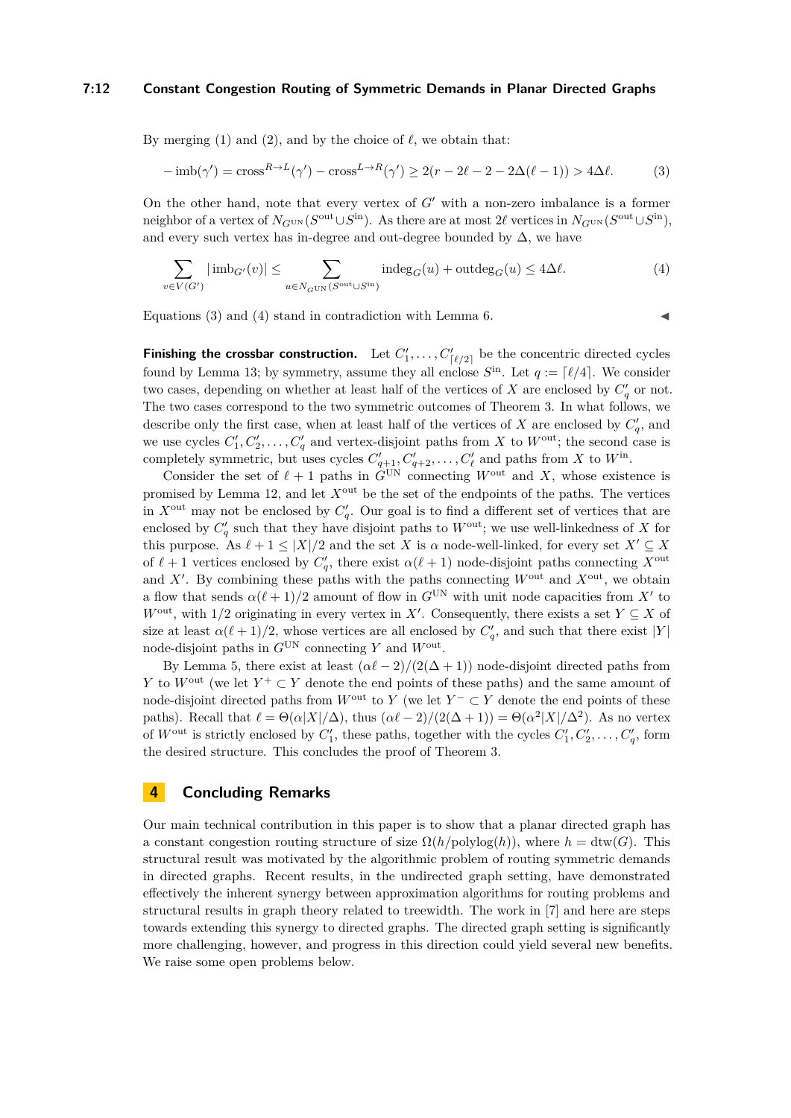#### **7:12 Constant Congestion Routing of Symmetric Demands in Planar Directed Graphs**

By merging [\(1\)](#page-10-0) and [\(2\)](#page-10-1), and by the choice of  $\ell$ , we obtain that:

$$
-\operatorname{imb}(\gamma') = \operatorname{cross}^{R \to L}(\gamma') - \operatorname{cross}^{L \to R}(\gamma') \ge 2(r - 2\ell - 2 - 2\Delta(\ell - 1)) > 4\Delta\ell.
$$
 (3)

On the other hand, note that every vertex of *G'* with a non-zero imbalance is a former neighbor of a vertex of  $N_{G^{UN}}(S^{out} \cup S^{in})$ . As there are at most 2 $\ell$  vertices in  $N_{G^{UN}}(S^{out} \cup S^{in})$ , and every such vertex has in-degree and out-degree bounded by  $\Delta$ , we have

$$
\sum_{v \in V(G')} |\text{imb}_{G'}(v)| \le \sum_{u \in N_{G} \cup N(S^{\text{out}} \cup S^{\text{in}})} \text{indeg}_G(u) + \text{outdeg}_G(u) \le 4\Delta \ell. \tag{4}
$$

Equations  $(3)$  and  $(4)$  stand in contradiction with Lemma [6.](#page-7-2)

<span id="page-11-1"></span><span id="page-11-0"></span>

**Finishing the crossbar construction.** Let  $C'_1, \ldots, C'_{\lceil \ell/2 \rceil}$  be the concentric directed cycles found by Lemma [13;](#page-10-2) by symmetry, assume they all enclose  $S^{in}$ . Let  $q := \lceil \ell/4 \rceil$ . We consider two cases, depending on whether at least half of the vertices of *X* are enclosed by  $C_q'$  or not. The two cases correspond to the two symmetric outcomes of Theorem [3.](#page-4-0) In what follows, we describe only the first case, when at least half of the vertices of *X* are enclosed by  $C_q'$ , and we use cycles  $C'_1, C'_2, \ldots, C'_q$  and vertex-disjoint paths from *X* to  $W^{\text{out}}$ ; the second case is completely symmetric, but uses cycles  $C'_{q+1}, C'_{q+2}, \ldots, C'_{\ell}$  and paths from *X* to  $W^{\text{in}}$ .

Consider the set of  $\ell + 1$  paths in  $G^{UN}$  connecting  $W^{out}$  and X, whose existence is promised by Lemma [12,](#page-9-1) and let *X*out be the set of the endpoints of the paths. The vertices in  $X^{\text{out}}$  may not be enclosed by  $C_q'$ . Our goal is to find a different set of vertices that are enclosed by  $C_q'$  such that they have disjoint paths to  $W^{\text{out}}$ ; we use well-linkedness of *X* for this purpose. As  $\ell + 1 \leq |X|/2$  and the set *X* is  $\alpha$  node-well-linked, for every set  $X' \subseteq X$ of  $\ell + 1$  vertices enclosed by  $C'_q$ , there exist  $\alpha(\ell + 1)$  node-disjoint paths connecting  $X^{\text{out}}$ and  $X'$ . By combining these paths with the paths connecting  $W^{\text{out}}$  and  $X^{\text{out}}$ , we obtain a flow that sends  $\alpha(\ell+1)/2$  amount of flow in  $G^{\text{UN}}$  with unit node capacities from X' to  $W^{\text{out}}$ , with 1/2 originating in every vertex in *X'*. Consequently, there exists a set  $Y \subseteq X$  of size at least  $\alpha(\ell+1)/2$ , whose vertices are all enclosed by  $C_q'$ , and such that there exist  $|Y|$ node-disjoint paths in *G*UN connecting *Y* and *W*out .

By Lemma [5,](#page-6-1) there exist at least  $(\alpha \ell - 2)/(2(\Delta + 1))$  node-disjoint directed paths from *Y* to *W*<sup>out</sup> (we let *Y*<sup>+</sup> ⊂ *Y* denote the end points of these paths) and the same amount of node-disjoint directed paths from  $W^{\text{out}}$  to  $Y$  (we let  $Y^{-} \subset Y$  denote the end points of these paths). Recall that  $\ell = \Theta(\alpha |X|/\Delta)$ , thus  $(\alpha \ell - 2)/(2(\Delta + 1)) = \Theta(\alpha^2 |X|/\Delta^2)$ . As no vertex of  $W^{\text{out}}$  is strictly enclosed by  $C'_{1}$ , these paths, together with the cycles  $C'_{1}, C'_{2}, \ldots, C'_{q}$ , form the desired structure. This concludes the proof of Theorem [3.](#page-4-0)

## **4 Concluding Remarks**

Our main technical contribution in this paper is to show that a planar directed graph has a constant congestion routing structure of size  $\Omega(h/\text{polylog}(h))$ , where  $h = \text{dtw}(G)$ . This structural result was motivated by the algorithmic problem of routing symmetric demands in directed graphs. Recent results, in the undirected graph setting, have demonstrated effectively the inherent synergy between approximation algorithms for routing problems and structural results in graph theory related to treewidth. The work in [\[7\]](#page-12-13) and here are steps towards extending this synergy to directed graphs. The directed graph setting is significantly more challenging, however, and progress in this direction could yield several new benefits. We raise some open problems below.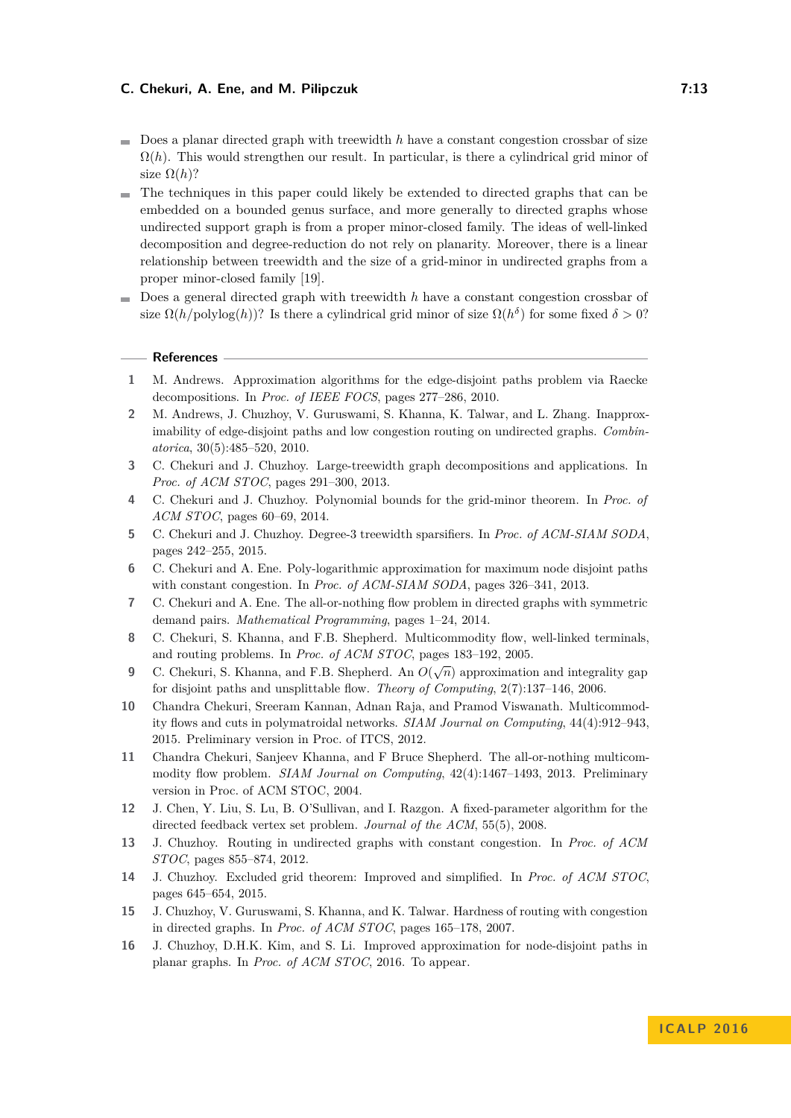- Does a planar directed graph with treewidth *h* have a constant congestion crossbar of size  $\Omega(h)$ . This would strengthen our result. In particular, is there a cylindrical grid minor of size  $\Omega(h)$ ?
- The techniques in this paper could likely be extended to directed graphs that can be embedded on a bounded genus surface, and more generally to directed graphs whose undirected support graph is from a proper minor-closed family. The ideas of well-linked decomposition and degree-reduction do not rely on planarity. Moreover, there is a linear relationship between treewidth and the size of a grid-minor in undirected graphs from a proper minor-closed family [\[19\]](#page-13-21).
- Does a general directed graph with treewidth *h* have a constant congestion crossbar of  $\mathbf{r}$ size  $\Omega(h/\text{polylog}(h))$ ? Is there a cylindrical grid minor of size  $\Omega(h^{\delta})$  for some fixed  $\delta > 0$ ?

#### **References**

- <span id="page-12-5"></span>**1** M. Andrews. Approximation algorithms for the edge-disjoint paths problem via Raecke decompositions. In *Proc. of IEEE FOCS*, pages 277–286, 2010.
- <span id="page-12-1"></span>**2** M. Andrews, J. Chuzhoy, V. Guruswami, S. Khanna, K. Talwar, and L. Zhang. Inapproximability of edge-disjoint paths and low congestion routing on undirected graphs. *Combinatorica*, 30(5):485–520, 2010.
- <span id="page-12-9"></span>**3** C. Chekuri and J. Chuzhoy. Large-treewidth graph decompositions and applications. In *Proc. of ACM STOC*, pages 291–300, 2013.
- <span id="page-12-8"></span>**4** C. Chekuri and J. Chuzhoy. Polynomial bounds for the grid-minor theorem. In *Proc. of ACM STOC*, pages 60–69, 2014.
- <span id="page-12-10"></span>**5** C. Chekuri and J. Chuzhoy. Degree-3 treewidth sparsifiers. In *Proc. of ACM-SIAM SODA*, pages 242–255, 2015.
- <span id="page-12-7"></span>**6** C. Chekuri and A. Ene. Poly-logarithmic approximation for maximum node disjoint paths with constant congestion. In *Proc. of ACM-SIAM SODA*, pages 326–341, 2013.
- <span id="page-12-13"></span>**7** C. Chekuri and A. Ene. The all-or-nothing flow problem in directed graphs with symmetric demand pairs. *Mathematical Programming*, pages 1–24, 2014.
- <span id="page-12-4"></span>**8** C. Chekuri, S. Khanna, and F.B. Shepherd. Multicommodity flow, well-linked terminals, and routing problems. In *Proc. of ACM STOC*, pages 183–192, 2005.
- <span id="page-12-0"></span>**9** C. Chekuri, S. Khanna, and F.B. Shepherd. An  $O(\sqrt{n})$  approximation and integrality gap for disjoint paths and unsplittable flow. *Theory of Computing*, 2(7):137–146, 2006.
- <span id="page-12-14"></span>**10** Chandra Chekuri, Sreeram Kannan, Adnan Raja, and Pramod Viswanath. Multicommodity flows and cuts in polymatroidal networks. *SIAM Journal on Computing*, 44(4):912–943, 2015. Preliminary version in Proc. of ITCS, 2012.
- <span id="page-12-3"></span>**11** Chandra Chekuri, Sanjeev Khanna, and F Bruce Shepherd. The all-or-nothing multicommodity flow problem. *SIAM Journal on Computing*, 42(4):1467–1493, 2013. Preliminary version in Proc. of ACM STOC, 2004.
- <span id="page-12-15"></span>**12** J. Chen, Y. Liu, S. Lu, B. O'Sullivan, and I. Razgon. A fixed-parameter algorithm for the directed feedback vertex set problem. *Journal of the ACM*, 55(5), 2008.
- <span id="page-12-6"></span>**13** J. Chuzhoy. Routing in undirected graphs with constant congestion. In *Proc. of ACM STOC*, pages 855–874, 2012.
- <span id="page-12-11"></span>**14** J. Chuzhoy. Excluded grid theorem: Improved and simplified. In *Proc. of ACM STOC*, pages 645–654, 2015.
- <span id="page-12-12"></span>**15** J. Chuzhoy, V. Guruswami, S. Khanna, and K. Talwar. Hardness of routing with congestion in directed graphs. In *Proc. of ACM STOC*, pages 165–178, 2007.
- <span id="page-12-2"></span>**16** J. Chuzhoy, D.H.K. Kim, and S. Li. Improved approximation for node-disjoint paths in planar graphs. In *Proc. of ACM STOC*, 2016. To appear.